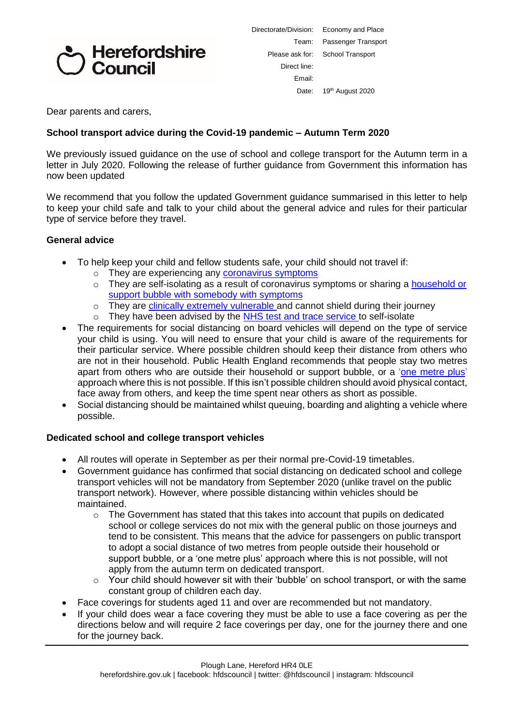# Herefordshire Council

| Directorate/Division:            | Economy and Place            |  |
|----------------------------------|------------------------------|--|
| Team:                            | Passenger Transport          |  |
| Please ask for: School Transport |                              |  |
| Direct line:                     |                              |  |
| Fmail:                           |                              |  |
| Date:                            | 19 <sup>th</sup> August 2020 |  |
|                                  |                              |  |

Dear parents and carers,

### **School transport advice during the Covid-19 pandemic – Autumn Term 2020**

We previously issued guidance on the use of school and college transport for the Autumn term in a letter in July 2020. Following the release of further guidance from Government this information has now been updated

We recommend that you follow the updated Government guidance summarised in this letter to help to keep your child safe and talk to your child about the general advice and rules for their particular type of service before they travel.

#### **General advice**

- To help keep your child and fellow students safe, your child should not travel if:
	- $\circ$  They are experiencing any [coronavirus](https://www.nhs.uk/conditions/coronavirus-covid-19/symptoms/) symptoms
	- $\circ$  They are self-isolating as a result of coronavirus symptoms or sharing a [household](https://www.gov.uk/government/publications/covid-19-stay-at-home-guidance) or support bubble with [somebody](https://www.gov.uk/government/publications/covid-19-stay-at-home-guidance) with symptoms
	- o They are *clinically extremely [vulnerable](https://www.gov.uk/government/publications/guidance-on-shielding-and-protecting-extremely-vulnerable-persons-from-covid-19)* and cannot shield during their journey
	- o They have been advised by the NHS test and trace [service](https://www.gov.uk/guidance/nhs-test-and-trace-how-it-works) to self-isolate
- The requirements for social distancing on board vehicles will depend on the type of service your child is using. You will need to ensure that your child is aware of the requirements for their particular service. Where possible children should keep their distance from others who are not in their household. Public Health England recommends that people stay two metres apart from others who are outside their household or support bubble, or a ['one metre plus'](https://www.gov.uk/government/publications/staying-alert-and-safe-social-distancing/staying-alert-and-safe-social-distancing-after-4-july) approach where this is not possible. If this isn't possible children should avoid physical contact, face away from others, and keep the time spent near others as short as possible.
- Social distancing should be maintained whilst queuing, boarding and alighting a vehicle where possible.

#### **Dedicated school and college transport vehicles**

- All routes will operate in September as per their normal pre-Covid-19 timetables.
- Government guidance has confirmed that social distancing on dedicated school and college transport vehicles will not be mandatory from September 2020 (unlike travel on the public transport network). However, where possible distancing within vehicles should be maintained.
	- $\circ$  The Government has stated that this takes into account that pupils on dedicated school or college services do not mix with the general public on those journeys and tend to be consistent. This means that the advice for passengers on public transport to adopt a social distance of two metres from people outside their household or support bubble, or a 'one metre plus' approach where this is not possible, will not apply from the autumn term on dedicated transport.
	- $\circ$  Your child should however sit with their 'bubble' on school transport, or with the same constant group of children each day.
- Face coverings for students aged 11 and over are recommended but not mandatory.
- If your child does wear a face covering they must be able to use a face covering as per the directions below and will require 2 face coverings per day, one for the journey there and one for the journey back.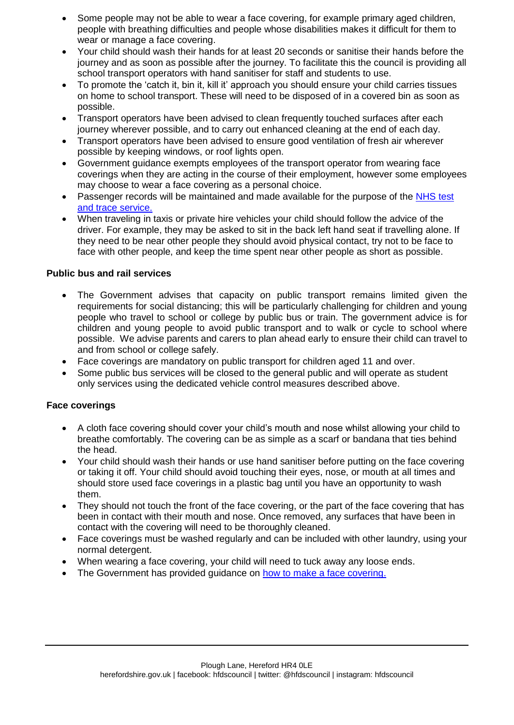- Some people may not be able to wear a face covering, for example primary aged children, people with breathing difficulties and people whose disabilities makes it difficult for them to wear or manage a face covering.
- Your child should wash their hands for at least 20 seconds or sanitise their hands before the journey and as soon as possible after the journey. To facilitate this the council is providing all school transport operators with hand sanitiser for staff and students to use.
- To promote the 'catch it, bin it, kill it' approach you should ensure your child carries tissues on home to school transport. These will need to be disposed of in a covered bin as soon as possible.
- Transport operators have been advised to clean frequently touched surfaces after each journey wherever possible, and to carry out enhanced cleaning at the end of each day.
- Transport operators have been advised to ensure good ventilation of fresh air wherever possible by keeping windows, or roof lights open.
- Government guidance exempts employees of the transport operator from wearing face coverings when they are acting in the course of their employment, however some employees may choose to wear a face covering as a personal choice.
- Passenger records will be maintained and made available for the purpose of the NHS test [and trace service.](https://www.gov.uk/guidance/nhs-test-and-trace-how-it-works)
- When traveling in taxis or private hire vehicles your child should follow the advice of the driver. For example, they may be asked to sit in the back left hand seat if travelling alone. If they need to be near other people they should avoid physical contact, try not to be face to face with other people, and keep the time spent near other people as short as possible.

### **Public bus and rail services**

- The Government advises that capacity on public transport remains limited given the requirements for social distancing; this will be particularly challenging for children and young people who travel to school or college by public bus or train. The government advice is for children and young people to avoid public transport and to walk or cycle to school where possible. We advise parents and carers to plan ahead early to ensure their child can travel to and from school or college safely.
- Face coverings are mandatory on public transport for children aged 11 and over.
- Some public bus services will be closed to the general public and will operate as student only services using the dedicated vehicle control measures described above.

### **Face coverings**

- A cloth face covering should cover your child's mouth and nose whilst allowing your child to breathe comfortably. The covering can be as simple as a scarf or bandana that ties behind the head.
- Your child should wash their hands or use hand sanitiser before putting on the face covering or taking it off. Your child should avoid touching their eyes, nose, or mouth at all times and should store used face coverings in a plastic bag until you have an opportunity to wash them.
- They should not touch the front of the face covering, or the part of the face covering that has been in contact with their mouth and nose. Once removed, any surfaces that have been in contact with the covering will need to be thoroughly cleaned.
- Face coverings must be washed regularly and can be included with other laundry, using your normal detergent.
- When wearing a face covering, your child will need to tuck away any loose ends.
- The Government has provided guidance on [how to make a face covering.](https://www.gov.uk/government/publications/how-to-wear-and-make-a-cloth-face-covering/how-to-wear-and-make-a-cloth-face-covering)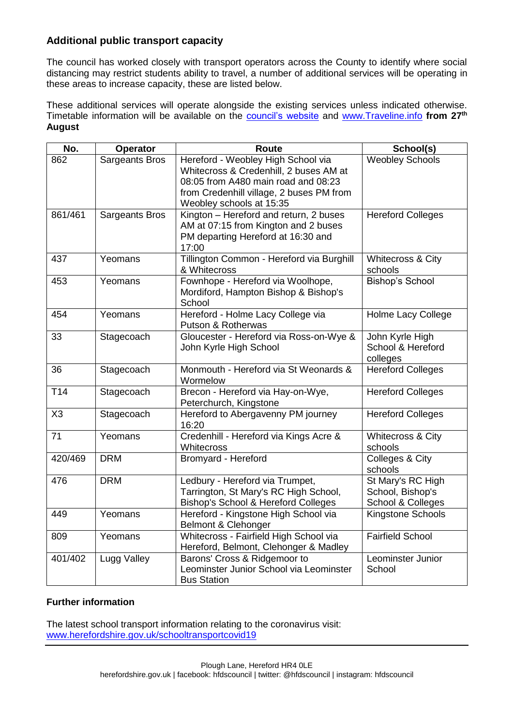## **Additional public transport capacity**

The council has worked closely with transport operators across the County to identify where social distancing may restrict students ability to travel, a number of additional services will be operating in these areas to increase capacity, these are listed below.

These additional services will operate alongside the existing services unless indicated otherwise. Timetable information will be available on the [council's website](https://www.herefordshire.gov.uk/public-transport-1/bus-travel) and [www.Traveline.info](http://www.traveline.info/) **from 27th August**

| No.             | <b>Operator</b>       | <b>Route</b>                                                                                                                                                                                | School(s)                                                  |
|-----------------|-----------------------|---------------------------------------------------------------------------------------------------------------------------------------------------------------------------------------------|------------------------------------------------------------|
| 862             | <b>Sargeants Bros</b> | Hereford - Weobley High School via<br>Whitecross & Credenhill, 2 buses AM at<br>08:05 from A480 main road and 08:23<br>from Credenhill village, 2 buses PM from<br>Weobley schools at 15:35 | <b>Weobley Schools</b>                                     |
| 861/461         | <b>Sargeants Bros</b> | Kington - Hereford and return, 2 buses<br>AM at 07:15 from Kington and 2 buses<br>PM departing Hereford at 16:30 and<br>17:00                                                               | <b>Hereford Colleges</b>                                   |
| 437             | Yeomans               | Tillington Common - Hereford via Burghill<br>& Whitecross                                                                                                                                   | Whitecross & City<br>schools                               |
| 453             | Yeomans               | Fownhope - Hereford via Woolhope,<br>Mordiford, Hampton Bishop & Bishop's<br>School                                                                                                         | <b>Bishop's School</b>                                     |
| 454             | Yeomans               | Hereford - Holme Lacy College via<br>Putson & Rotherwas                                                                                                                                     | Holme Lacy College                                         |
| 33              | Stagecoach            | Gloucester - Hereford via Ross-on-Wye &<br>John Kyrle High School                                                                                                                           | John Kyrle High<br>School & Hereford<br>colleges           |
| 36              | Stagecoach            | Monmouth - Hereford via St Weonards &<br>Wormelow                                                                                                                                           | <b>Hereford Colleges</b>                                   |
| T <sub>14</sub> | Stagecoach            | Brecon - Hereford via Hay-on-Wye,<br>Peterchurch, Kingstone                                                                                                                                 | <b>Hereford Colleges</b>                                   |
| X <sub>3</sub>  | Stagecoach            | Hereford to Abergavenny PM journey<br>16:20                                                                                                                                                 | <b>Hereford Colleges</b>                                   |
| 71              | Yeomans               | Credenhill - Hereford via Kings Acre &<br>Whitecross                                                                                                                                        | Whitecross & City<br>schools                               |
| 420/469         | <b>DRM</b>            | Bromyard - Hereford                                                                                                                                                                         | Colleges & City<br>schools                                 |
| 476             | <b>DRM</b>            | Ledbury - Hereford via Trumpet,<br>Tarrington, St Mary's RC High School,<br><b>Bishop's School &amp; Hereford Colleges</b>                                                                  | St Mary's RC High<br>School, Bishop's<br>School & Colleges |
| 449             | Yeomans               | Hereford - Kingstone High School via<br><b>Belmont &amp; Clehonger</b>                                                                                                                      | Kingstone Schools                                          |
| 809             | Yeomans               | Whitecross - Fairfield High School via<br>Hereford, Belmont, Clehonger & Madley                                                                                                             | <b>Fairfield School</b>                                    |
| 401/402         | Lugg Valley           | Barons' Cross & Ridgemoor to<br>Leominster Junior School via Leominster<br><b>Bus Station</b>                                                                                               | Leominster Junior<br>School                                |

### **Further information**

The latest school transport information relating to the coronavirus visit: [www.herefordshire.gov.uk/schooltransportcovid19](http://www.herefordshire.gov.uk/schooltransportcovid19)